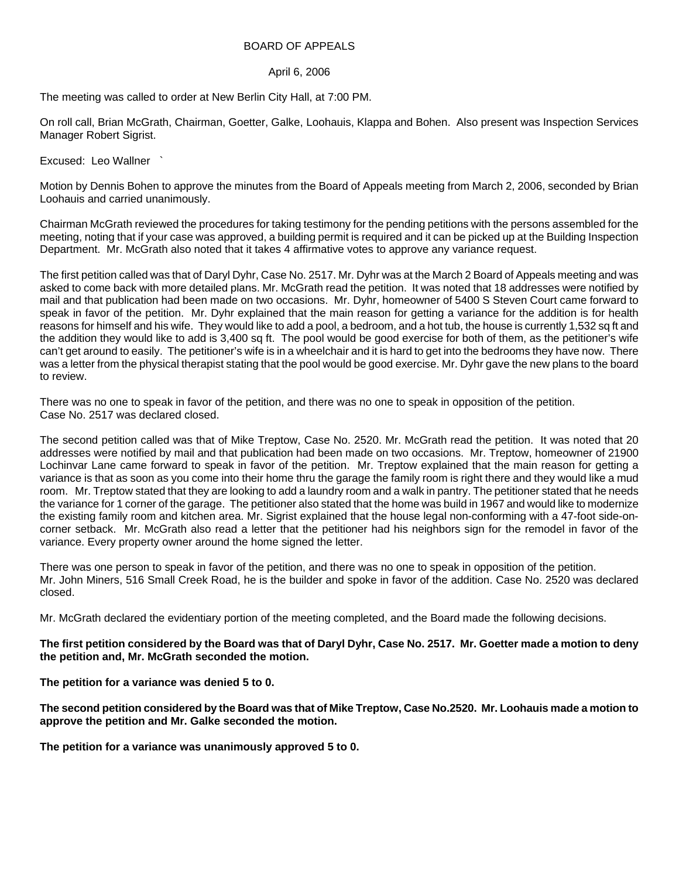## BOARD OF APPEALS

## April 6, 2006

The meeting was called to order at New Berlin City Hall, at 7:00 PM.

On roll call, Brian McGrath, Chairman, Goetter, Galke, Loohauis, Klappa and Bohen. Also present was Inspection Services Manager Robert Sigrist.

Excused: Leo Wallner `

Motion by Dennis Bohen to approve the minutes from the Board of Appeals meeting from March 2, 2006, seconded by Brian Loohauis and carried unanimously.

Chairman McGrath reviewed the procedures for taking testimony for the pending petitions with the persons assembled for the meeting, noting that if your case was approved, a building permit is required and it can be picked up at the Building Inspection Department. Mr. McGrath also noted that it takes 4 affirmative votes to approve any variance request.

The first petition called was that of Daryl Dyhr, Case No. 2517. Mr. Dyhr was at the March 2 Board of Appeals meeting and was asked to come back with more detailed plans. Mr. McGrath read the petition. It was noted that 18 addresses were notified by mail and that publication had been made on two occasions. Mr. Dyhr, homeowner of 5400 S Steven Court came forward to speak in favor of the petition. Mr. Dyhr explained that the main reason for getting a variance for the addition is for health reasons for himself and his wife. They would like to add a pool, a bedroom, and a hot tub, the house is currently 1,532 sq ft and the addition they would like to add is 3,400 sq ft. The pool would be good exercise for both of them, as the petitioner's wife can't get around to easily. The petitioner's wife is in a wheelchair and it is hard to get into the bedrooms they have now. There was a letter from the physical therapist stating that the pool would be good exercise. Mr. Dyhr gave the new plans to the board to review.

There was no one to speak in favor of the petition, and there was no one to speak in opposition of the petition. Case No. 2517 was declared closed.

The second petition called was that of Mike Treptow, Case No. 2520. Mr. McGrath read the petition. It was noted that 20 addresses were notified by mail and that publication had been made on two occasions. Mr. Treptow, homeowner of 21900 Lochinvar Lane came forward to speak in favor of the petition. Mr. Treptow explained that the main reason for getting a variance is that as soon as you come into their home thru the garage the family room is right there and they would like a mud room. Mr. Treptow stated that they are looking to add a laundry room and a walk in pantry. The petitioner stated that he needs the variance for 1 corner of the garage. The petitioner also stated that the home was build in 1967 and would like to modernize the existing family room and kitchen area. Mr. Sigrist explained that the house legal non-conforming with a 47-foot side-oncorner setback. Mr. McGrath also read a letter that the petitioner had his neighbors sign for the remodel in favor of the variance. Every property owner around the home signed the letter.

There was one person to speak in favor of the petition, and there was no one to speak in opposition of the petition. Mr. John Miners, 516 Small Creek Road, he is the builder and spoke in favor of the addition. Case No. 2520 was declared closed.

Mr. McGrath declared the evidentiary portion of the meeting completed, and the Board made the following decisions.

## **The first petition considered by the Board was that of Daryl Dyhr, Case No. 2517. Mr. Goetter made a motion to deny the petition and, Mr. McGrath seconded the motion.**

**The petition for a variance was denied 5 to 0.** 

**The second petition considered by the Board was that of Mike Treptow, Case No.2520. Mr. Loohauis made a motion to approve the petition and Mr. Galke seconded the motion.** 

**The petition for a variance was unanimously approved 5 to 0.**